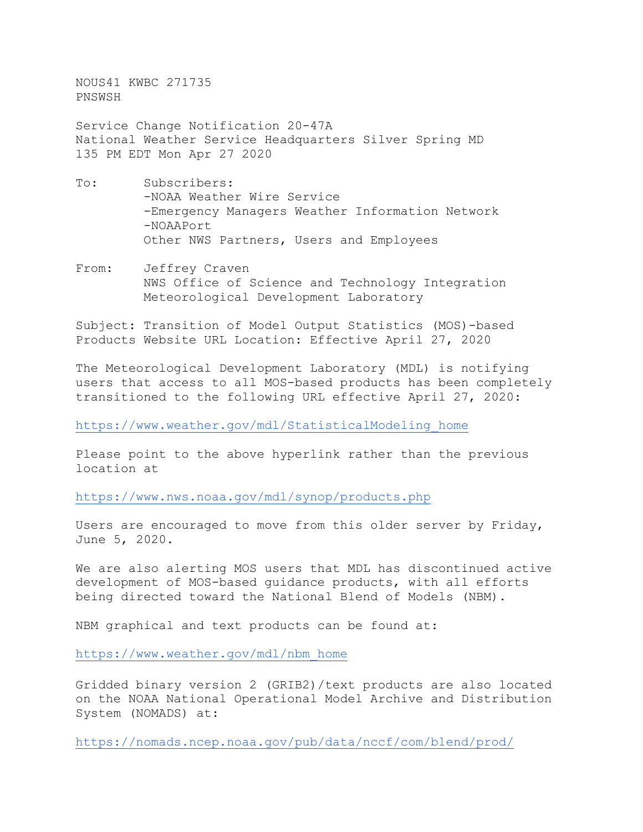NOUS41 KWBC 271735 PNSWSH

Service Change Notification 20-47A National Weather Service Headquarters Silver Spring MD 135 PM EDT Mon Apr 27 2020

- To: Subscribers: -NOAA Weather Wire Service -Emergency Managers Weather Information Network -NOAAPort Other NWS Partners, Users and Employees
- From: Jeffrey Craven NWS Office of Science and Technology Integration Meteorological Development Laboratory

Subject: Transition of Model Output Statistics (MOS)-based Products Website URL Location: Effective April 27, 2020

The Meteorological Development Laboratory (MDL) is notifying users that access to all MOS-based products has been completely transitioned to the following URL effective April 27, 2020:

[https://www.weather.gov/mdl/StatisticalModeling\\_home](https://www.weather.gov/mdl/StatisticalModeling_home)

Please point to the above hyperlink rather than the previous location at

<https://www.nws.noaa.gov/mdl/synop/products.php>

Users are encouraged to move from this older server by Friday, June 5, 2020.

We are also alerting MOS users that MDL has discontinued active development of MOS-based guidance products, with all efforts being directed toward the National Blend of Models (NBM).

NBM graphical and text products can be found at:

[https://www.weather.gov/mdl/nbm\\_home](https://www.weather.gov/mdl/nbm_home)

Gridded binary version 2 (GRIB2)/text products are also located on the NOAA National Operational Model Archive and Distribution System (NOMADS) at:

<https://nomads.ncep.noaa.gov/pub/data/nccf/com/blend/prod/>